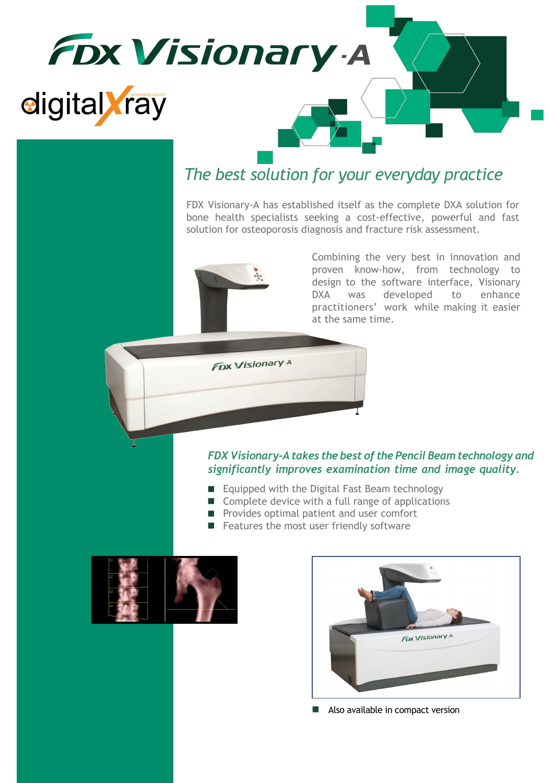

### *The best solution for your everyday practice*

FDX Visionary-A has established itself as the complete DXA solution for bone health specialists seeking a cost-effective, powerful and fast solution for osteoporosis diagnosis and fracture risk assessment.



**FDX Visionary A** 

Combining the very best in innovation and proven know-how, from technology to design to the software interface, Visionary DXA was developed to enhance practitioners' work while making it easier at the same time.

#### *FDX Visionary-A takes the best of the Pencil Beam technology and significantly improves examination time and image quality.*

- Equipped with the Digital Fast Beam technology
- Complete device with a full range of applications
- **Perovides optimal patient and user comfort**
- **Features the most user friendly software**





Also available in compact version